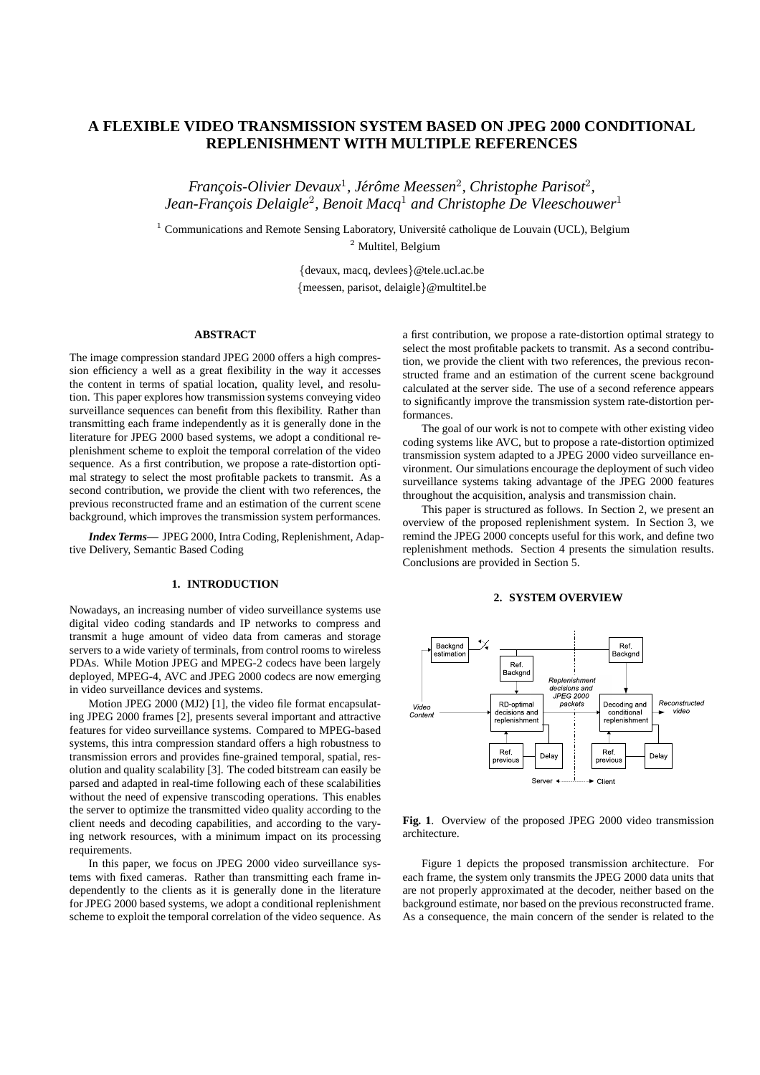# **A FLEXIBLE VIDEO TRANSMISSION SYSTEM BASED ON JPEG 2000 CONDITIONAL REPLENISHMENT WITH MULTIPLE REFERENCES**

*François-Olivier Devaux<sup>1</sup>, Jérôme Meessen<sup>2</sup>, Christophe Parisot<sup>2</sup>, Jean-Franc¸ois Delaigle*<sup>2</sup> *, Benoit Macq*<sup>1</sup> *and Christophe De Vleeschouwer*<sup>1</sup>

 $1$  Communications and Remote Sensing Laboratory, Université catholique de Louvain (UCL), Belgium <sup>2</sup> Multitel, Belgium

> {devaux, macq, devlees}@tele.ucl.ac.be {meessen, parisot, delaigle}@multitel.be

# **ABSTRACT**

The image compression standard JPEG 2000 offers a high compression efficiency a well as a great flexibility in the way it accesses the content in terms of spatial location, quality level, and resolution. This paper explores how transmission systems conveying video surveillance sequences can benefit from this flexibility. Rather than transmitting each frame independently as it is generally done in the literature for JPEG 2000 based systems, we adopt a conditional replenishment scheme to exploit the temporal correlation of the video sequence. As a first contribution, we propose a rate-distortion optimal strategy to select the most profitable packets to transmit. As a second contribution, we provide the client with two references, the previous reconstructed frame and an estimation of the current scene background, which improves the transmission system performances.

*Index Terms***—** JPEG 2000, Intra Coding, Replenishment, Adaptive Delivery, Semantic Based Coding

### **1. INTRODUCTION**

Nowadays, an increasing number of video surveillance systems use digital video coding standards and IP networks to compress and transmit a huge amount of video data from cameras and storage servers to a wide variety of terminals, from control rooms to wireless PDAs. While Motion JPEG and MPEG-2 codecs have been largely deployed, MPEG-4, AVC and JPEG 2000 codecs are now emerging in video surveillance devices and systems.

Motion JPEG 2000 (MJ2) [1], the video file format encapsulating JPEG 2000 frames [2], presents several important and attractive features for video surveillance systems. Compared to MPEG-based systems, this intra compression standard offers a high robustness to transmission errors and provides fine-grained temporal, spatial, resolution and quality scalability [3]. The coded bitstream can easily be parsed and adapted in real-time following each of these scalabilities without the need of expensive transcoding operations. This enables the server to optimize the transmitted video quality according to the client needs and decoding capabilities, and according to the varying network resources, with a minimum impact on its processing requirements.

In this paper, we focus on JPEG 2000 video surveillance systems with fixed cameras. Rather than transmitting each frame independently to the clients as it is generally done in the literature for JPEG 2000 based systems, we adopt a conditional replenishment scheme to exploit the temporal correlation of the video sequence. As

a first contribution, we propose a rate-distortion optimal strategy to select the most profitable packets to transmit. As a second contribution, we provide the client with two references, the previous reconstructed frame and an estimation of the current scene background calculated at the server side. The use of a second reference appears to significantly improve the transmission system rate-distortion performances.

The goal of our work is not to compete with other existing video coding systems like AVC, but to propose a rate-distortion optimized transmission system adapted to a JPEG 2000 video surveillance environment. Our simulations encourage the deployment of such video surveillance systems taking advantage of the JPEG 2000 features throughout the acquisition, analysis and transmission chain.

This paper is structured as follows. In Section 2, we present an overview of the proposed replenishment system. In Section 3, we remind the JPEG 2000 concepts useful for this work, and define two replenishment methods. Section 4 presents the simulation results. Conclusions are provided in Section 5.

#### **2. SYSTEM OVERVIEW**



**Fig. 1**. Overview of the proposed JPEG 2000 video transmission architecture.

Figure 1 depicts the proposed transmission architecture. For each frame, the system only transmits the JPEG 2000 data units that are not properly approximated at the decoder, neither based on the background estimate, nor based on the previous reconstructed frame. As a consequence, the main concern of the sender is related to the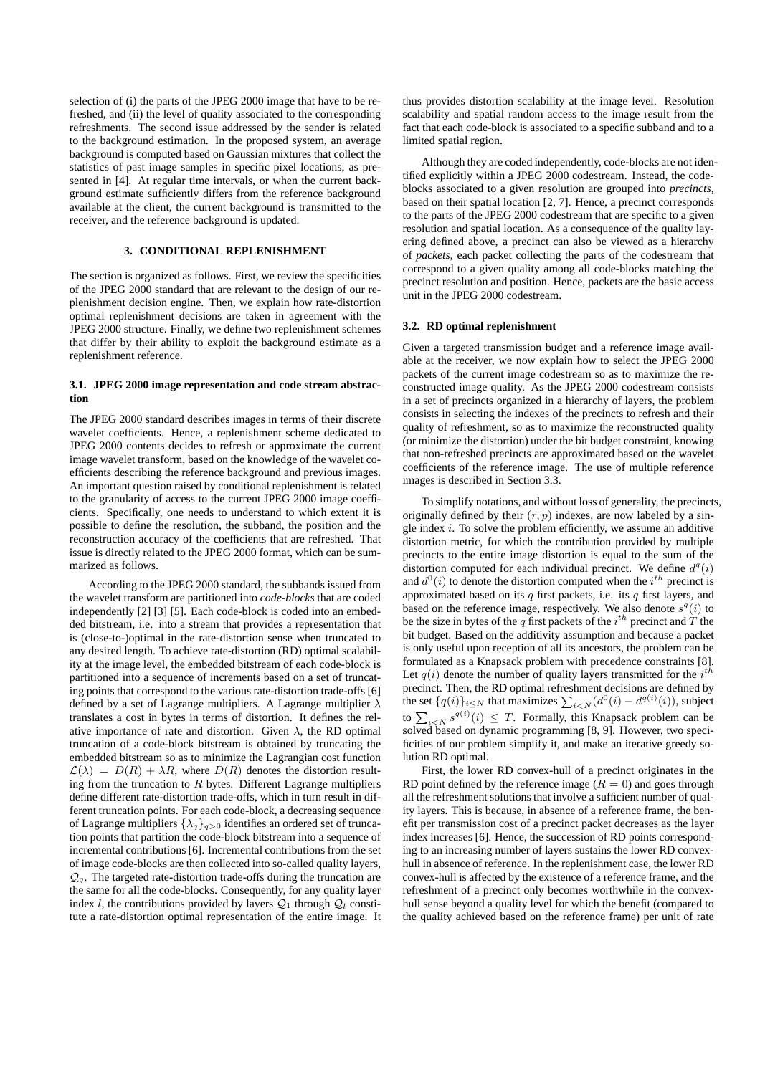selection of (i) the parts of the JPEG 2000 image that have to be refreshed, and (ii) the level of quality associated to the corresponding refreshments. The second issue addressed by the sender is related to the background estimation. In the proposed system, an average background is computed based on Gaussian mixtures that collect the statistics of past image samples in specific pixel locations, as presented in [4]. At regular time intervals, or when the current background estimate sufficiently differs from the reference background available at the client, the current background is transmitted to the receiver, and the reference background is updated.

# **3. CONDITIONAL REPLENISHMENT**

The section is organized as follows. First, we review the specificities of the JPEG 2000 standard that are relevant to the design of our replenishment decision engine. Then, we explain how rate-distortion optimal replenishment decisions are taken in agreement with the JPEG 2000 structure. Finally, we define two replenishment schemes that differ by their ability to exploit the background estimate as a replenishment reference.

### **3.1. JPEG 2000 image representation and code stream abstraction**

The JPEG 2000 standard describes images in terms of their discrete wavelet coefficients. Hence, a replenishment scheme dedicated to JPEG 2000 contents decides to refresh or approximate the current image wavelet transform, based on the knowledge of the wavelet coefficients describing the reference background and previous images. An important question raised by conditional replenishment is related to the granularity of access to the current JPEG 2000 image coefficients. Specifically, one needs to understand to which extent it is possible to define the resolution, the subband, the position and the reconstruction accuracy of the coefficients that are refreshed. That issue is directly related to the JPEG 2000 format, which can be summarized as follows.

According to the JPEG 2000 standard, the subbands issued from the wavelet transform are partitioned into *code-blocks* that are coded independently [2] [3] [5]. Each code-block is coded into an embedded bitstream, i.e. into a stream that provides a representation that is (close-to-)optimal in the rate-distortion sense when truncated to any desired length. To achieve rate-distortion (RD) optimal scalability at the image level, the embedded bitstream of each code-block is partitioned into a sequence of increments based on a set of truncating points that correspond to the various rate-distortion trade-offs [6] defined by a set of Lagrange multipliers. A Lagrange multiplier  $\lambda$ translates a cost in bytes in terms of distortion. It defines the relative importance of rate and distortion. Given  $\lambda$ , the RD optimal truncation of a code-block bitstream is obtained by truncating the embedded bitstream so as to minimize the Lagrangian cost function  $\mathcal{L}(\lambda) = D(R) + \lambda R$ , where  $D(R)$  denotes the distortion resulting from the truncation to  $R$  bytes. Different Lagrange multipliers define different rate-distortion trade-offs, which in turn result in different truncation points. For each code-block, a decreasing sequence of Lagrange multipliers  $\{\lambda_q\}_{q>0}$  identifies an ordered set of truncation points that partition the code-block bitstream into a sequence of incremental contributions [6]. Incremental contributions from the set of image code-blocks are then collected into so-called quality layers,  $Q_q$ . The targeted rate-distortion trade-offs during the truncation are the same for all the code-blocks. Consequently, for any quality layer index l, the contributions provided by layers  $Q_1$  through  $Q_1$  constitute a rate-distortion optimal representation of the entire image. It

thus provides distortion scalability at the image level. Resolution scalability and spatial random access to the image result from the fact that each code-block is associated to a specific subband and to a limited spatial region.

Although they are coded independently, code-blocks are not identified explicitly within a JPEG 2000 codestream. Instead, the codeblocks associated to a given resolution are grouped into *precincts*, based on their spatial location [2, 7]. Hence, a precinct corresponds to the parts of the JPEG 2000 codestream that are specific to a given resolution and spatial location. As a consequence of the quality layering defined above, a precinct can also be viewed as a hierarchy of *packets*, each packet collecting the parts of the codestream that correspond to a given quality among all code-blocks matching the precinct resolution and position. Hence, packets are the basic access unit in the JPEG 2000 codestream.

# **3.2. RD optimal replenishment**

Given a targeted transmission budget and a reference image available at the receiver, we now explain how to select the JPEG 2000 packets of the current image codestream so as to maximize the reconstructed image quality. As the JPEG 2000 codestream consists in a set of precincts organized in a hierarchy of layers, the problem consists in selecting the indexes of the precincts to refresh and their quality of refreshment, so as to maximize the reconstructed quality (or minimize the distortion) under the bit budget constraint, knowing that non-refreshed precincts are approximated based on the wavelet coefficients of the reference image. The use of multiple reference images is described in Section 3.3.

To simplify notations, and without loss of generality, the precincts, originally defined by their  $(r, p)$  indexes, are now labeled by a single index  $i$ . To solve the problem efficiently, we assume an additive distortion metric, for which the contribution provided by multiple precincts to the entire image distortion is equal to the sum of the distortion computed for each individual precinct. We define  $d^q(i)$ and  $d^0(i)$  to denote the distortion computed when the  $i^{th}$  precinct is approximated based on its  $q$  first packets, i.e. its  $q$  first layers, and based on the reference image, respectively. We also denote  $s^q(i)$  to be the size in bytes of the q first packets of the  $i^{th}$  precinct and T the bit budget. Based on the additivity assumption and because a packet is only useful upon reception of all its ancestors, the problem can be formulated as a Knapsack problem with precedence constraints [8]. Let  $q(i)$  denote the number of quality layers transmitted for the  $i^{th}$ precinct. Then, the RD optimal refreshment decisions are defined by the set  $\{q(i)\}_{i\leq N}$  that maximizes  $\sum_{i\leq N} (d^0(i) - d^{q(i)}(i))$ , subject to  $\sum_{i\leq N} s^{q(i)}(i) \leq T$ . Formally, this Knapsack problem can be solved based on dynamic programming [8, 9]. However, two specificities of our problem simplify it, and make an iterative greedy solution RD optimal.

First, the lower RD convex-hull of a precinct originates in the RD point defined by the reference image  $(R = 0)$  and goes through all the refreshment solutions that involve a sufficient number of quality layers. This is because, in absence of a reference frame, the benefit per transmission cost of a precinct packet decreases as the layer index increases [6]. Hence, the succession of RD points corresponding to an increasing number of layers sustains the lower RD convexhull in absence of reference. In the replenishment case, the lower RD convex-hull is affected by the existence of a reference frame, and the refreshment of a precinct only becomes worthwhile in the convexhull sense beyond a quality level for which the benefit (compared to the quality achieved based on the reference frame) per unit of rate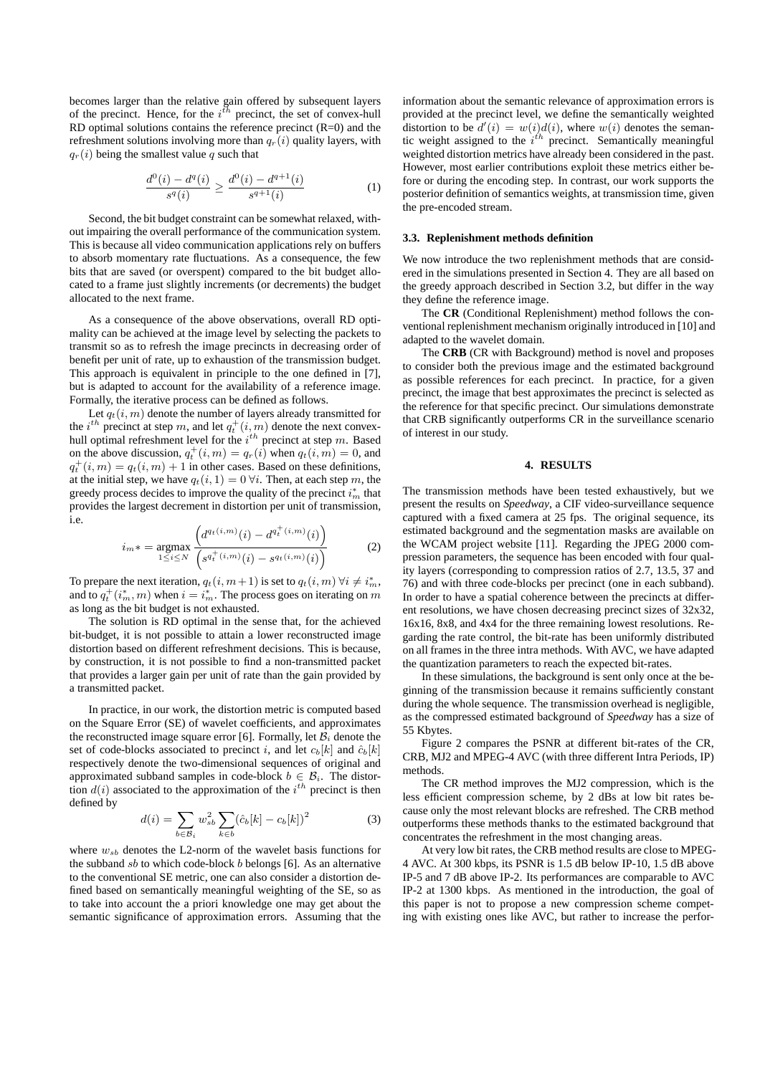becomes larger than the relative gain offered by subsequent layers of the precinct. Hence, for the  $i^{\bar{t}h}$  precinct, the set of convex-hull RD optimal solutions contains the reference precinct  $(R=0)$  and the refreshment solutions involving more than  $q_r(i)$  quality layers, with  $q_r(i)$  being the smallest value q such that

$$
\frac{d^0(i) - d^q(i)}{s^q(i)} \ge \frac{d^0(i) - d^{q+1}(i)}{s^{q+1}(i)}\tag{1}
$$

Second, the bit budget constraint can be somewhat relaxed, without impairing the overall performance of the communication system. This is because all video communication applications rely on buffers to absorb momentary rate fluctuations. As a consequence, the few bits that are saved (or overspent) compared to the bit budget allocated to a frame just slightly increments (or decrements) the budget allocated to the next frame.

As a consequence of the above observations, overall RD optimality can be achieved at the image level by selecting the packets to transmit so as to refresh the image precincts in decreasing order of benefit per unit of rate, up to exhaustion of the transmission budget. This approach is equivalent in principle to the one defined in [7], but is adapted to account for the availability of a reference image. Formally, the iterative process can be defined as follows.

Let  $q_t(i, m)$  denote the number of layers already transmitted for the  $i^{th}$  precinct at step m, and let  $q_t^+(i, m)$  denote the next convexhull optimal refreshment level for the  $i^{th}$  precinct at step m. Based on the above discussion,  $q_t^+(i, m) = q_r(i)$  when  $q_t(i, m) = 0$ , and  $q_t^+(i,m) = q_t(i,m) + 1$  in other cases. Based on these definitions, at the initial step, we have  $q_t(i, 1) = 0 \forall i$ . Then, at each step m, the greedy process decides to improve the quality of the precinct  $i_m^*$  that provides the largest decrement in distortion per unit of transmission, i.e.

$$
i_m * = \underset{1 \le i \le N}{\text{argmax}} \frac{\left(d^{q_t(i,m)}(i) - d^{q_t^+(i,m)}(i)\right)}{\left(s^{q_t^+(i,m)}(i) - s^{q_t(i,m)}(i)\right)} \tag{2}
$$

To prepare the next iteration,  $q_t(i, m+1)$  is set to  $q_t(i, m)$   $\forall i \neq i_m^*$ , and to  $q_t^+(i_m^*,m)$  when  $i=i_m^*$ . The process goes on iterating on  $m$ as long as the bit budget is not exhausted.

The solution is RD optimal in the sense that, for the achieved bit-budget, it is not possible to attain a lower reconstructed image distortion based on different refreshment decisions. This is because, by construction, it is not possible to find a non-transmitted packet that provides a larger gain per unit of rate than the gain provided by a transmitted packet.

In practice, in our work, the distortion metric is computed based on the Square Error (SE) of wavelet coefficients, and approximates the reconstructed image square error [6]. Formally, let  $B_i$  denote the set of code-blocks associated to precinct i, and let  $c_b[k]$  and  $\hat{c}_b[k]$ respectively denote the two-dimensional sequences of original and approximated subband samples in code-block  $b \in \mathcal{B}_i$ . The distortion  $d(i)$  associated to the approximation of the  $i<sup>th</sup>$  precinct is then defined by

$$
d(i) = \sum_{b \in \mathcal{B}_i} w_{sb}^2 \sum_{k \in b} (\hat{c}_b[k] - c_b[k])^2
$$
 (3)

where  $w_{sb}$  denotes the L2-norm of the wavelet basis functions for the subband  $sb$  to which code-block  $b$  belongs [6]. As an alternative to the conventional SE metric, one can also consider a distortion defined based on semantically meaningful weighting of the SE, so as to take into account the a priori knowledge one may get about the semantic significance of approximation errors. Assuming that the information about the semantic relevance of approximation errors is provided at the precinct level, we define the semantically weighted distortion to be  $d'(i) = w(i)d(i)$ , where  $w(i)$  denotes the semantic weight assigned to the  $i^{th}$  precinct. Semantically meaningful weighted distortion metrics have already been considered in the past. However, most earlier contributions exploit these metrics either before or during the encoding step. In contrast, our work supports the posterior definition of semantics weights, at transmission time, given the pre-encoded stream.

#### **3.3. Replenishment methods definition**

We now introduce the two replenishment methods that are considered in the simulations presented in Section 4. They are all based on the greedy approach described in Section 3.2, but differ in the way they define the reference image.

The **CR** (Conditional Replenishment) method follows the conventional replenishment mechanism originally introduced in [10] and adapted to the wavelet domain.

The **CRB** (CR with Background) method is novel and proposes to consider both the previous image and the estimated background as possible references for each precinct. In practice, for a given precinct, the image that best approximates the precinct is selected as the reference for that specific precinct. Our simulations demonstrate that CRB significantly outperforms CR in the surveillance scenario of interest in our study.

#### **4. RESULTS**

 $argmax_{1 \le i \le N} \frac{\left(d^{q_t(i,m)}(i) - d^{q_t^+(i,m)}(i)\right)}{\left(s^{q_t^+(i,m)}(i) - s^{q_t(i,m)}(i)\right)}$  estimated background and the segmentation masks are available on<br>the WCAM project website [11]. Regarding the JPEG 2000 com-<br>pression parameters, the s  $(i)$  estimated background and the segmentation masks are available on  $\mathbb{R}^n$  $\blacksquare$  . The contract of the contract of the contract of the contract of the contract of the contract of the contract of the contract of the contract of the contract of the contract of the contract of the contract of the  $\frac{d(u,m)(i)}{dx^{(i,m)}(i)}$  (2) the WCAM project website [11]. Regarding the JPEG 2000 compression parameters, the sequence has been encoded with four qual-The transmission methods have been tested exhaustively, but we present the results on *Speedway*, a CIF video-surveillance sequence captured with a fixed camera at 25 fps. The original sequence, its the WCAM project website [11]. Regarding the JPEG 2000 comity layers (corresponding to compression ratios of 2.7, 13.5, 37 and 76) and with three code-blocks per precinct (one in each subband). In order to have a spatial coherence between the precincts at different resolutions, we have chosen decreasing precinct sizes of 32x32, 16x16, 8x8, and 4x4 for the three remaining lowest resolutions. Regarding the rate control, the bit-rate has been uniformly distributed on all frames in the three intra methods. With AVC, we have adapted the quantization parameters to reach the expected bit-rates.

> In these simulations, the background is sent only once at the beginning of the transmission because it remains sufficiently constant during the whole sequence. The transmission overhead is negligible, as the compressed estimated background of *Speedway* has a size of 55 Kbytes.

> Figure 2 compares the PSNR at different bit-rates of the CR, CRB, MJ2 and MPEG-4 AVC (with three different Intra Periods, IP) methods.

 $d(i) = \sum w_{sb}^2 \sum (\hat{c}_b[k] - c_b[k])^2$  (3) contractions these methods thanks to the estimated background that  $\sum_{sb}^{2} \sum_{s} (\hat{c}_b[k] - c_b[k])^2$  (3) cause only the most felour blocks are ferreshed. The extension methods of the estimated background that The CR method improves the MJ2 compression, which is the less efficient compression scheme, by 2 dBs at low bit rates because only the most relevant blocks are refreshed. The CRB method outperforms these methods thanks to the estimated background that concentrates the refreshment in the most changing areas.

> At very low bit rates, the CRB method results are close to MPEG-4 AVC. At 300 kbps, its PSNR is 1.5 dB below IP-10, 1.5 dB above IP-5 and 7 dB above IP-2. Its performances are comparable to AVC IP-2 at 1300 kbps. As mentioned in the introduction, the goal of this paper is not to propose a new compression scheme competing with existing ones like AVC, but rather to increase the perfor-